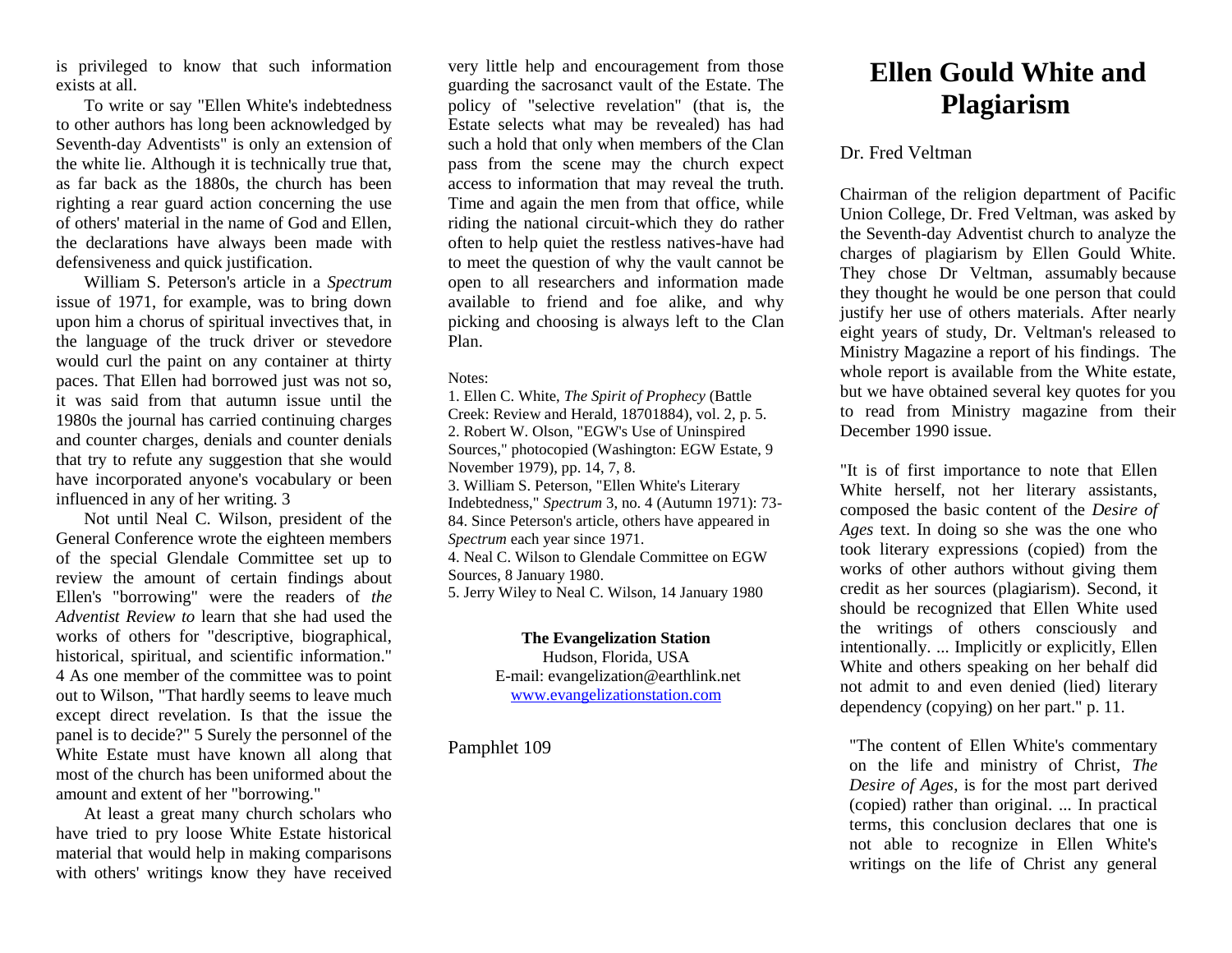is privileged to know that such information exists at all.

To write or say "Ellen White's indebtedness to other authors has long been acknowledged by Seventh-day Adventists" is only an extension of the white lie. Although it is technically true that, as far back as the 1880s, the church has been righting a rear guard action concerning the use of others' material in the name of God and Ellen, the declarations have always been made with defensiveness and quick justification.

William S. Peterson's article in a *Spectrum*  issue of 1971, for example, was to bring down upon him a chorus of spiritual invectives that, in the language of the truck driver or stevedore would curl the paint on any container at thirty paces. That Ellen had borrowed just was not so, it was said from that autumn issue until the 1980s the journal has carried continuing charges and counter charges, denials and counter denials that try to refute any suggestion that she would have incorporated anyone's vocabulary or been influenced in any of her writing. 3

Not until Neal C. Wilson, president of the General Conference wrote the eighteen members of the special Glendale Committee set up to review the amount of certain findings about Ellen's "borrowing" were the readers of *the Adventist Review to* learn that she had used the works of others for "descriptive, biographical, historical, spiritual, and scientific information." 4 As one member of the committee was to point out to Wilson, "That hardly seems to leave much except direct revelation. Is that the issue the panel is to decide?" 5 Surely the personnel of the White Estate must have known all along that most of the church has been uniformed about the amount and extent of her "borrowing."

At least a great many church scholars who have tried to pry loose White Estate historical material that would help in making comparisons with others' writings know they have received

very little help and encouragement from those guarding the sacrosanct vault of the Estate. The policy of "selective revelation" (that is, the Estate selects what may be revealed) has had such a hold that only when members of the Clan pass from the scene may the church expect access to information that may reveal the truth. Time and again the men from that office, while riding the national circuit-which they do rather often to help quiet the restless natives-have had to meet the question of why the vault cannot be open to all researchers and information made available to friend and foe alike, and why picking and choosing is always left to the Clan Plan.

#### Notes:

1. Ellen C. White, *The Spirit of Prophecy* (Battle Creek: Review and Herald, 18701884), vol. 2, p. 5. 2. Robert W. Olson, "EGW's Use of Uninspired Sources," photocopied (Washington: EGW Estate, 9 November 1979), pp. 14, 7, 8. 3. William S. Peterson, "Ellen White's Literary Indebtedness," *Spectrum* 3, no. 4 (Autumn 1971): 73- 84. Since Peterson's article, others have appeared in *Spectrum* each year since 1971. 4. Neal C. Wilson to Glendale Committee on EGW Sources, 8 January 1980.

5. Jerry Wiley to Neal C. Wilson, 14 January 1980

### **The Evangelization Station**

Hudson, Florida, USA E-mail: evangelization@earthlink.net [www.evangelizationstation.com](http://www.pjpiisoe.org/)

Pamphlet 109

# **Ellen Gould White and Plagiarism**

## Dr. Fred Veltman

Chairman of the religion department of Pacific Union College, Dr. Fred Veltman, was asked by the Seventh-day Adventist church to analyze the charges of plagiarism by Ellen Gould White. They chose Dr Veltman, assumably because they thought he would be one person that could justify her use of others materials. After nearly eight years of study, Dr. Veltman's released to Ministry Magazine a report of his findings. The whole report is available from the White estate, but we have obtained several key quotes for you to read from Ministry magazine from their December 1990 issue.

"It is of first importance to note that Ellen White herself, not her literary assistants, composed the basic content of the *Desire of Ages* text. In doing so she was the one who took literary expressions (copied) from the works of other authors without giving them credit as her sources (plagiarism). Second, it should be recognized that Ellen White used the writings of others consciously and intentionally. ... Implicitly or explicitly, Ellen White and others speaking on her behalf did not admit to and even denied (lied) literary dependency (copying) on her part." p. 11.

"The content of Ellen White's commentary on the life and ministry of Christ, *The Desire of Ages*, is for the most part derived (copied) rather than original. ... In practical terms, this conclusion declares that one is not able to recognize in Ellen White's writings on the life of Christ any general